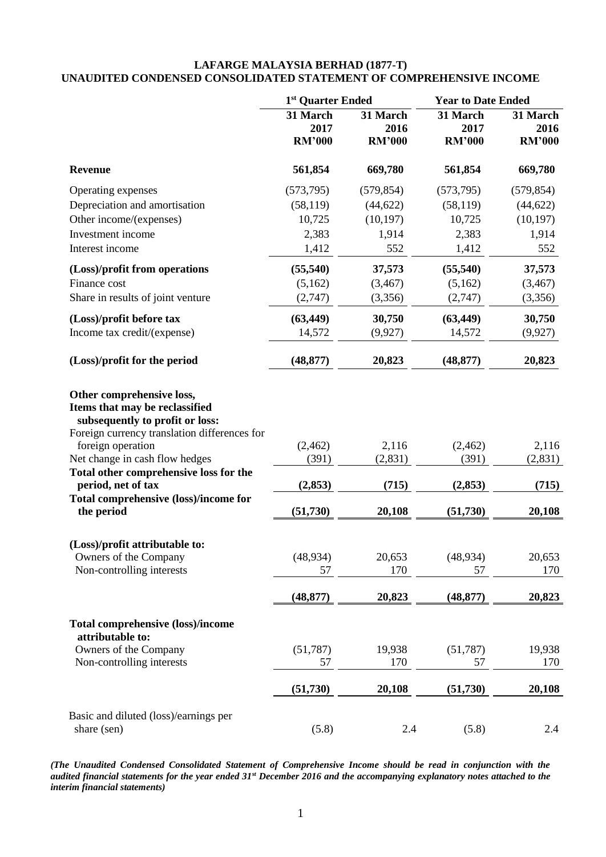## **LAFARGE MALAYSIA BERHAD (1877-T) UNAUDITED CONDENSED CONSOLIDATED STATEMENT OF COMPREHENSIVE INCOME**

|                                                                                                                                                                                                                                                 | 1 <sup>st</sup> Quarter Ended     |                                   | <b>Year to Date Ended</b>         |                                   |  |
|-------------------------------------------------------------------------------------------------------------------------------------------------------------------------------------------------------------------------------------------------|-----------------------------------|-----------------------------------|-----------------------------------|-----------------------------------|--|
|                                                                                                                                                                                                                                                 | 31 March<br>2017<br><b>RM'000</b> | 31 March<br>2016<br><b>RM'000</b> | 31 March<br>2017<br><b>RM'000</b> | 31 March<br>2016<br><b>RM'000</b> |  |
| <b>Revenue</b>                                                                                                                                                                                                                                  | 561,854                           | 669,780                           | 561,854                           | 669,780                           |  |
| Operating expenses                                                                                                                                                                                                                              | (573, 795)                        | (579, 854)                        | (573, 795)                        | (579, 854)                        |  |
| Depreciation and amortisation                                                                                                                                                                                                                   | (58, 119)                         | (44, 622)                         | (58, 119)                         | (44, 622)                         |  |
| Other income/(expenses)                                                                                                                                                                                                                         | 10,725                            | (10, 197)                         | 10,725                            | (10, 197)                         |  |
| Investment income                                                                                                                                                                                                                               | 2,383                             | 1,914                             | 2,383                             | 1,914                             |  |
| Interest income                                                                                                                                                                                                                                 | 1,412                             | 552                               | 1,412                             | 552                               |  |
| (Loss)/profit from operations                                                                                                                                                                                                                   | (55, 540)                         | 37,573                            | (55, 540)                         | 37,573                            |  |
| Finance cost                                                                                                                                                                                                                                    | (5,162)                           | (3, 467)                          | (5,162)                           | (3, 467)                          |  |
| Share in results of joint venture                                                                                                                                                                                                               | (2,747)                           | (3,356)                           | (2,747)                           | (3,356)                           |  |
| (Loss)/profit before tax                                                                                                                                                                                                                        | (63, 449)                         | 30,750                            | (63, 449)                         | 30,750                            |  |
| Income tax credit/(expense)                                                                                                                                                                                                                     | 14,572                            | (9, 927)                          | 14,572                            | (9, 927)                          |  |
| (Loss)/profit for the period                                                                                                                                                                                                                    | (48, 877)                         | 20,823                            | (48, 877)                         | 20,823                            |  |
| Other comprehensive loss,<br>Items that may be reclassified<br>subsequently to profit or loss:<br>Foreign currency translation differences for<br>foreign operation<br>Net change in cash flow hedges<br>Total other comprehensive loss for the | (2, 462)<br>(391)                 | 2,116<br>(2, 831)                 | (2, 462)<br>(391)                 | 2,116<br>(2, 831)                 |  |
| period, net of tax                                                                                                                                                                                                                              | (2, 853)                          | (715)                             | (2, 853)                          | (715)                             |  |
| Total comprehensive (loss)/income for                                                                                                                                                                                                           |                                   |                                   |                                   |                                   |  |
| the period                                                                                                                                                                                                                                      | (51, 730)                         | 20,108                            | (51, 730)                         | 20,108                            |  |
| (Loss)/profit attributable to:                                                                                                                                                                                                                  |                                   |                                   |                                   |                                   |  |
| Owners of the Company                                                                                                                                                                                                                           | (48, 934)                         | 20,653                            | (48, 934)                         | 20,653                            |  |
| Non-controlling interests                                                                                                                                                                                                                       | 57                                | 170                               | 57                                | 170                               |  |
|                                                                                                                                                                                                                                                 | (48, 877)                         | 20,823                            | (48, 877)                         | 20,823                            |  |
| <b>Total comprehensive (loss)/income</b><br>attributable to:                                                                                                                                                                                    |                                   |                                   |                                   |                                   |  |
| Owners of the Company                                                                                                                                                                                                                           | (51, 787)                         | 19,938                            | (51, 787)                         | 19,938                            |  |
| Non-controlling interests                                                                                                                                                                                                                       | 57                                | 170                               | 57                                | 170                               |  |
|                                                                                                                                                                                                                                                 | (51,730)                          | 20,108                            | (51,730)                          | 20,108                            |  |
| Basic and diluted (loss)/earnings per                                                                                                                                                                                                           |                                   |                                   |                                   |                                   |  |
| share (sen)                                                                                                                                                                                                                                     | (5.8)                             | 2.4                               | (5.8)                             | 2.4                               |  |

*(The Unaudited Condensed Consolidated Statement of Comprehensive Income should be read in conjunction with the audited financial statements for the year ended 31st December 2016 and the accompanying explanatory notes attached to the interim financial statements)*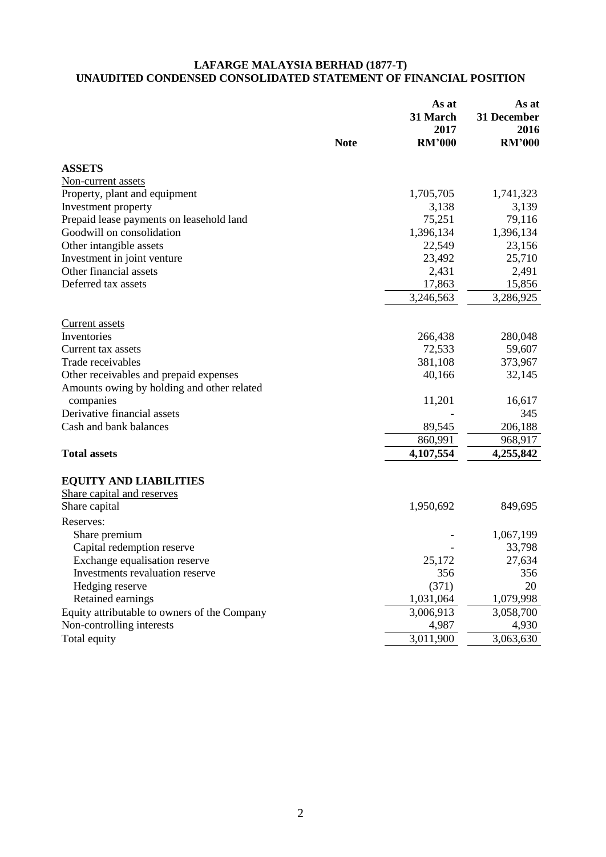## **LAFARGE MALAYSIA BERHAD (1877-T) UNAUDITED CONDENSED CONSOLIDATED STATEMENT OF FINANCIAL POSITION**

|                                              | <b>Note</b> | As at<br>31 March<br>2017<br><b>RM'000</b> | As at<br>31 December<br>2016<br><b>RM'000</b> |
|----------------------------------------------|-------------|--------------------------------------------|-----------------------------------------------|
| <b>ASSETS</b>                                |             |                                            |                                               |
| Non-current assets                           |             |                                            |                                               |
| Property, plant and equipment                |             | 1,705,705                                  | 1,741,323                                     |
| Investment property                          |             | 3,138                                      | 3,139                                         |
| Prepaid lease payments on leasehold land     |             | 75,251                                     | 79,116                                        |
| Goodwill on consolidation                    |             | 1,396,134                                  | 1,396,134                                     |
| Other intangible assets                      |             | 22,549                                     | 23,156                                        |
| Investment in joint venture                  |             | 23,492                                     | 25,710                                        |
| Other financial assets                       |             | 2,431                                      | 2,491                                         |
| Deferred tax assets                          |             | 17,863                                     | 15,856                                        |
|                                              |             | 3,246,563                                  | 3,286,925                                     |
|                                              |             |                                            |                                               |
| <b>Current assets</b><br>Inventories         |             | 266,438                                    | 280,048                                       |
| Current tax assets                           |             | 72,533                                     | 59,607                                        |
| Trade receivables                            |             | 381,108                                    | 373,967                                       |
| Other receivables and prepaid expenses       |             | 40,166                                     | 32,145                                        |
| Amounts owing by holding and other related   |             |                                            |                                               |
| companies                                    |             | 11,201                                     | 16,617                                        |
| Derivative financial assets                  |             |                                            | 345                                           |
| Cash and bank balances                       |             | 89,545                                     | 206,188                                       |
|                                              |             | 860,991                                    | 968,917                                       |
| <b>Total assets</b>                          |             | 4,107,554                                  | 4,255,842                                     |
|                                              |             |                                            |                                               |
| <b>EQUITY AND LIABILITIES</b>                |             |                                            |                                               |
| Share capital and reserves                   |             |                                            |                                               |
| Share capital                                |             | 1,950,692                                  | 849,695                                       |
| Reserves:                                    |             |                                            |                                               |
| Share premium                                |             |                                            | 1,067,199                                     |
| Capital redemption reserve                   |             |                                            | 33,798                                        |
| Exchange equalisation reserve                |             | 25,172                                     | 27,634                                        |
| Investments revaluation reserve              |             | 356                                        | 356                                           |
| Hedging reserve                              |             | (371)                                      | 20                                            |
| Retained earnings                            |             | 1,031,064                                  | 1,079,998                                     |
| Equity attributable to owners of the Company |             | 3,006,913                                  | 3,058,700                                     |
| Non-controlling interests                    |             | 4,987                                      | 4,930                                         |
| Total equity                                 |             | 3,011,900                                  | 3,063,630                                     |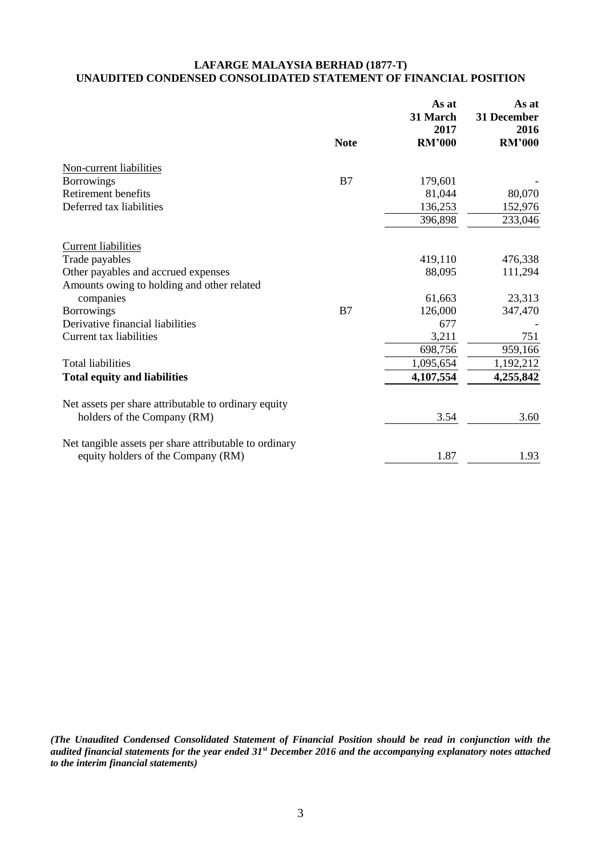# **LAFARGE MALAYSIA BERHAD (1877-T) UNAUDITED CONDENSED CONSOLIDATED STATEMENT OF FINANCIAL POSITION**

|                                                        |             | As at<br>31 March<br>2017 | As at<br>31 December<br>2016 |
|--------------------------------------------------------|-------------|---------------------------|------------------------------|
|                                                        | <b>Note</b> | <b>RM'000</b>             | <b>RM'000</b>                |
| Non-current liabilities                                |             |                           |                              |
| <b>Borrowings</b>                                      | B7          | 179,601                   |                              |
| Retirement benefits                                    |             | 81,044                    | 80,070                       |
| Deferred tax liabilities                               |             | 136,253                   | 152,976                      |
|                                                        |             | 396,898                   | 233,046                      |
| <b>Current liabilities</b>                             |             |                           |                              |
| Trade payables                                         |             | 419,110                   | 476,338                      |
| Other payables and accrued expenses                    |             | 88,095                    | 111,294                      |
| Amounts owing to holding and other related             |             |                           |                              |
| companies                                              |             | 61,663                    | 23,313                       |
| <b>Borrowings</b>                                      | B7          | 126,000                   | 347,470                      |
| Derivative financial liabilities                       |             | 677                       |                              |
| Current tax liabilities                                |             | 3,211                     | 751                          |
|                                                        |             | 698,756                   | 959,166                      |
| <b>Total liabilities</b>                               |             | 1,095,654                 | 1,192,212                    |
| <b>Total equity and liabilities</b>                    |             | 4,107,554                 | 4,255,842                    |
| Net assets per share attributable to ordinary equity   |             |                           |                              |
| holders of the Company (RM)                            |             | 3.54                      | 3.60                         |
| Net tangible assets per share attributable to ordinary |             |                           |                              |
| equity holders of the Company (RM)                     |             | 1.87                      | 1.93                         |

*(The Unaudited Condensed Consolidated Statement of Financial Position should be read in conjunction with the audited financial statements for the year ended 31st December 2016 and the accompanying explanatory notes attached to the interim financial statements)*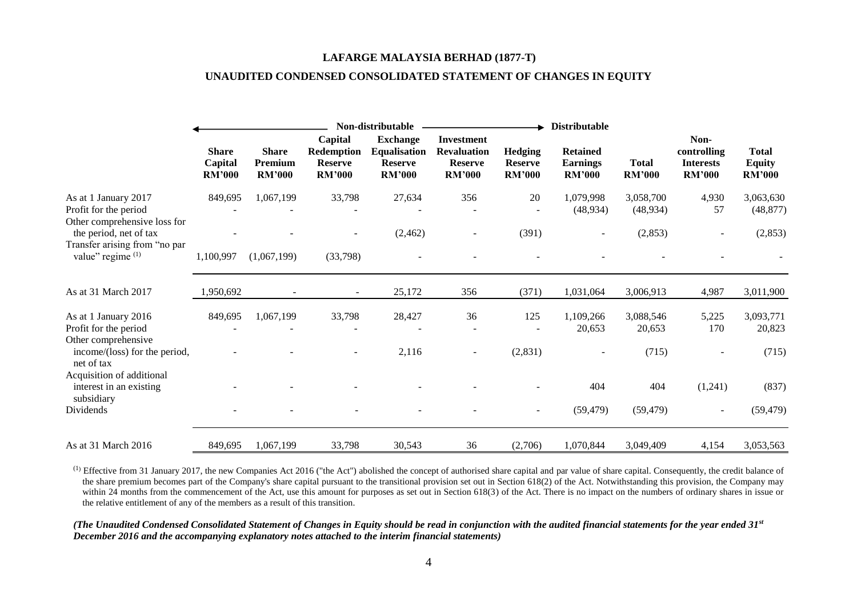#### **LAFARGE MALAYSIA BERHAD (1877-T)**

## **UNAUDITED CONDENSED CONSOLIDATED STATEMENT OF CHANGES IN EQUITY**

|                                                                                                       |                                          | Non-distributable                        |                                                                 |                                                                           |                                                                            |                                                   |                                                     | <b>Distributable</b>          |                                                          |                                                |  |
|-------------------------------------------------------------------------------------------------------|------------------------------------------|------------------------------------------|-----------------------------------------------------------------|---------------------------------------------------------------------------|----------------------------------------------------------------------------|---------------------------------------------------|-----------------------------------------------------|-------------------------------|----------------------------------------------------------|------------------------------------------------|--|
|                                                                                                       | <b>Share</b><br>Capital<br><b>RM'000</b> | <b>Share</b><br>Premium<br><b>RM'000</b> | Capital<br><b>Redemption</b><br><b>Reserve</b><br><b>RM'000</b> | <b>Exchange</b><br><b>Equalisation</b><br><b>Reserve</b><br><b>RM'000</b> | <b>Investment</b><br><b>Revaluation</b><br><b>Reserve</b><br><b>RM'000</b> | <b>Hedging</b><br><b>Reserve</b><br><b>RM'000</b> | <b>Retained</b><br><b>Earnings</b><br><b>RM'000</b> | <b>Total</b><br><b>RM'000</b> | Non-<br>controlling<br><b>Interests</b><br><b>RM'000</b> | <b>Total</b><br><b>Equity</b><br><b>RM'000</b> |  |
| As at 1 January 2017<br>Profit for the period<br>Other comprehensive loss for                         | 849,695                                  | 1,067,199                                | 33,798                                                          | 27,634                                                                    | 356                                                                        | 20                                                | 1,079,998<br>(48, 934)                              | 3,058,700<br>(48, 934)        | 4,930<br>57                                              | 3,063,630<br>(48, 877)                         |  |
| the period, net of tax<br>Transfer arising from "no par<br>value" regime (1)                          | 1,100,997                                | (1,067,199)                              | (33,798)                                                        | (2, 462)                                                                  | $\overline{\phantom{a}}$                                                   | (391)                                             |                                                     | (2,853)                       |                                                          | (2,853)                                        |  |
| As at 31 March 2017                                                                                   | 1,950,692                                |                                          | $\sim$                                                          | 25,172                                                                    | 356                                                                        | (371)                                             | 1,031,064                                           | 3,006,913                     | 4,987                                                    | 3,011,900                                      |  |
| As at 1 January 2016<br>Profit for the period<br>Other comprehensive<br>income/(loss) for the period, | 849,695                                  | 1,067,199                                | 33,798                                                          | 28,427<br>2,116                                                           | 36<br>$\overline{\phantom{a}}$                                             | 125<br>(2,831)                                    | 1,109,266<br>20,653                                 | 3,088,546<br>20,653<br>(715)  | 5,225<br>170                                             | 3,093,771<br>20,823<br>(715)                   |  |
| net of tax<br>Acquisition of additional<br>interest in an existing<br>subsidiary<br>Dividends         |                                          |                                          |                                                                 |                                                                           |                                                                            | ۰.                                                | 404<br>(59, 479)                                    | 404<br>(59, 479)              | (1,241)<br>$\overline{\phantom{a}}$                      | (837)<br>(59, 479)                             |  |
| As at 31 March 2016                                                                                   | 849,695                                  | 1,067,199                                | 33,798                                                          | 30,543                                                                    | 36                                                                         | (2,706)                                           | 1,070,844                                           | 3,049,409                     | 4,154                                                    | 3,053,563                                      |  |

 $^{(1)}$  Effective from 31 January 2017, the new Companies Act 2016 ("the Act") abolished the concept of authorised share capital and par value of share capital. Consequently, the credit balance of the share premium becomes part of the Company's share capital pursuant to the transitional provision set out in Section 618(2) of the Act. Notwithstanding this provision, the Company may within 24 months from the commencement of the Act, use this amount for purposes as set out in Section 618(3) of the Act. There is no impact on the numbers of ordinary shares in issue or the relative entitlement of any of the members as a result of this transition.

*(The Unaudited Condensed Consolidated Statement of Changes in Equity should be read in conjunction with the audited financial statements for the year ended 31st December 2016 and the accompanying explanatory notes attached to the interim financial statements)*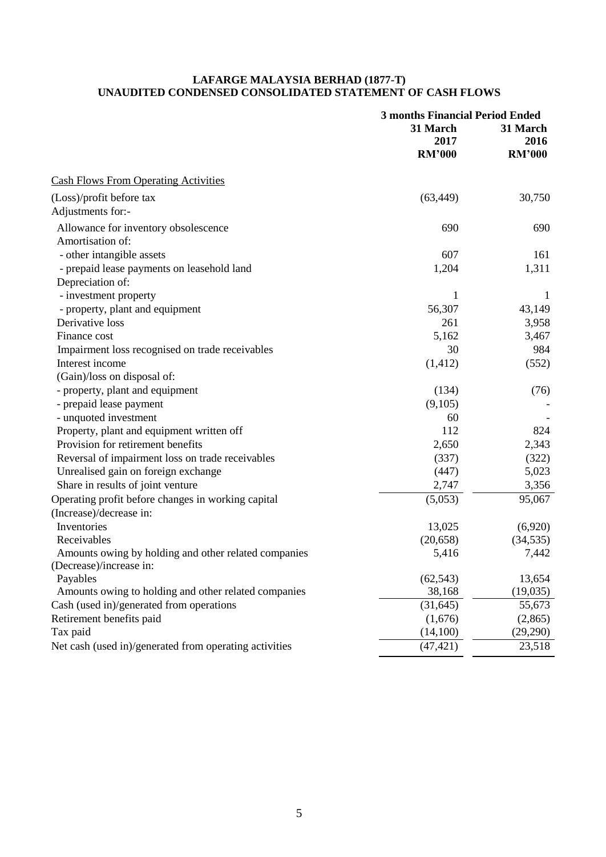## **LAFARGE MALAYSIA BERHAD (1877-T) UNAUDITED CONDENSED CONSOLIDATED STATEMENT OF CASH FLOWS**

|                                                        | <b>3 months Financial Period Ended</b><br>31 March<br>2017<br><b>RM'000</b> | 31 March<br>2016<br><b>RM'000</b> |  |
|--------------------------------------------------------|-----------------------------------------------------------------------------|-----------------------------------|--|
| <b>Cash Flows From Operating Activities</b>            |                                                                             |                                   |  |
| (Loss)/profit before tax                               | (63, 449)                                                                   | 30,750                            |  |
| Adjustments for:-                                      |                                                                             |                                   |  |
| Allowance for inventory obsolescence                   | 690                                                                         | 690                               |  |
| Amortisation of:                                       |                                                                             |                                   |  |
| - other intangible assets                              | 607                                                                         | 161                               |  |
| - prepaid lease payments on leasehold land             | 1,204                                                                       | 1,311                             |  |
| Depreciation of:                                       |                                                                             |                                   |  |
| - investment property                                  | 1                                                                           | 1                                 |  |
| - property, plant and equipment                        | 56,307                                                                      | 43,149                            |  |
| Derivative loss                                        | 261                                                                         | 3,958                             |  |
| Finance cost                                           | 5,162                                                                       | 3,467                             |  |
| Impairment loss recognised on trade receivables        | 30                                                                          | 984                               |  |
| Interest income                                        | (1, 412)                                                                    | (552)                             |  |
| (Gain)/loss on disposal of:                            |                                                                             |                                   |  |
| - property, plant and equipment                        | (134)                                                                       | (76)                              |  |
| - prepaid lease payment                                | (9,105)                                                                     |                                   |  |
| - unquoted investment                                  | 60                                                                          |                                   |  |
| Property, plant and equipment written off              | 112                                                                         | 824                               |  |
| Provision for retirement benefits                      | 2,650                                                                       | 2,343                             |  |
| Reversal of impairment loss on trade receivables       | (337)                                                                       | (322)                             |  |
| Unrealised gain on foreign exchange                    | (447)                                                                       | 5,023                             |  |
| Share in results of joint venture                      | 2,747                                                                       | 3,356                             |  |
| Operating profit before changes in working capital     | (5,053)                                                                     | 95,067                            |  |
| (Increase)/decrease in:                                |                                                                             |                                   |  |
| Inventories                                            | 13,025                                                                      | (6,920)                           |  |
| Receivables                                            | (20, 658)                                                                   | (34, 535)                         |  |
| Amounts owing by holding and other related companies   | 5,416                                                                       | 7,442                             |  |
| (Decrease)/increase in:                                |                                                                             |                                   |  |
| Payables                                               | (62, 543)                                                                   | 13,654                            |  |
| Amounts owing to holding and other related companies   | 38,168                                                                      | (19,035)                          |  |
| Cash (used in)/generated from operations               | (31, 645)                                                                   | 55,673                            |  |
| Retirement benefits paid                               | (1,676)                                                                     | (2,865)                           |  |
| Tax paid                                               | (14,100)                                                                    | (29,290)                          |  |
| Net cash (used in)/generated from operating activities | (47, 421)                                                                   | 23,518                            |  |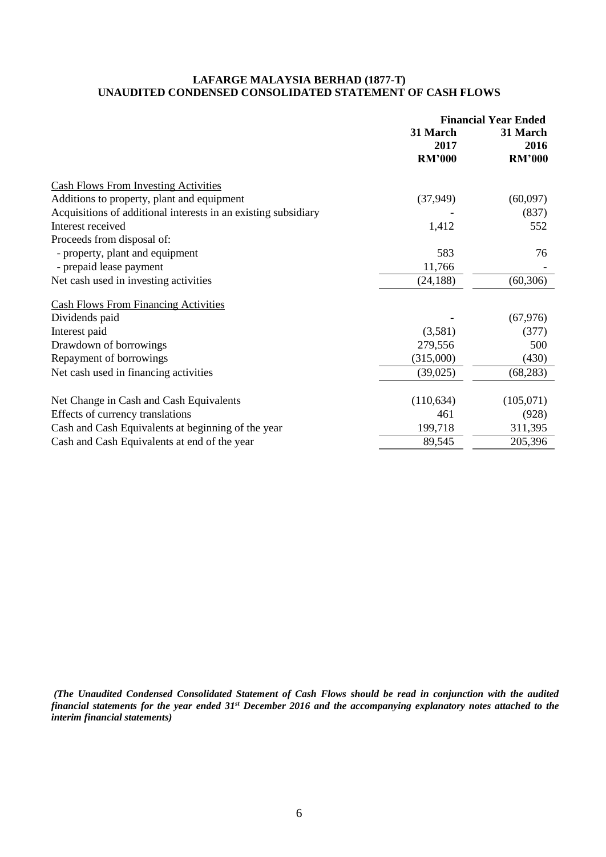## **LAFARGE MALAYSIA BERHAD (1877-T) UNAUDITED CONDENSED CONSOLIDATED STATEMENT OF CASH FLOWS**

|                                                                | <b>Financial Year Ended</b>       |                                   |  |
|----------------------------------------------------------------|-----------------------------------|-----------------------------------|--|
|                                                                | 31 March<br>2017<br><b>RM'000</b> | 31 March<br>2016<br><b>RM'000</b> |  |
| <b>Cash Flows From Investing Activities</b>                    |                                   |                                   |  |
| Additions to property, plant and equipment                     | (37, 949)                         | (60,097)                          |  |
| Acquisitions of additional interests in an existing subsidiary |                                   | (837)                             |  |
| Interest received                                              | 1,412                             | 552                               |  |
| Proceeds from disposal of:                                     |                                   |                                   |  |
| - property, plant and equipment                                | 583                               | 76                                |  |
| - prepaid lease payment                                        | 11,766                            |                                   |  |
| Net cash used in investing activities                          | (24, 188)                         | (60, 306)                         |  |
| <b>Cash Flows From Financing Activities</b>                    |                                   |                                   |  |
| Dividends paid                                                 |                                   | (67, 976)                         |  |
| Interest paid                                                  | (3,581)                           | (377)                             |  |
| Drawdown of borrowings                                         | 279,556                           | 500                               |  |
| Repayment of borrowings                                        | (315,000)                         | (430)                             |  |
| Net cash used in financing activities                          | (39, 025)                         | (68, 283)                         |  |
| Net Change in Cash and Cash Equivalents                        | (110, 634)                        | (105,071)                         |  |
| Effects of currency translations                               | 461                               | (928)                             |  |
| Cash and Cash Equivalents at beginning of the year             | 199,718                           | 311,395                           |  |
| Cash and Cash Equivalents at end of the year                   | 89,545                            | 205,396                           |  |

*(The Unaudited Condensed Consolidated Statement of Cash Flows should be read in conjunction with the audited financial statements for the year ended 31st December 2016 and the accompanying explanatory notes attached to the interim financial statements)*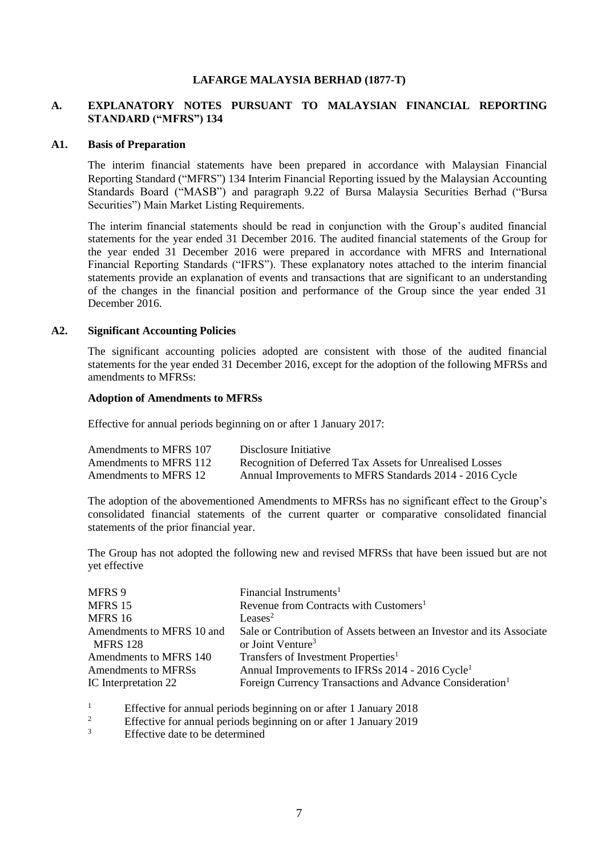## **LAFARGE MALAYSIA BERHAD (1877-T)**

## **A. EXPLANATORY NOTES PURSUANT TO MALAYSIAN FINANCIAL REPORTING STANDARD ("MFRS") 134**

#### **A1. Basis of Preparation**

The interim financial statements have been prepared in accordance with Malaysian Financial Reporting Standard ("MFRS") 134 Interim Financial Reporting issued by the Malaysian Accounting Standards Board ("MASB") and paragraph 9.22 of Bursa Malaysia Securities Berhad ("Bursa Securities") Main Market Listing Requirements.

The interim financial statements should be read in conjunction with the Group's audited financial statements for the year ended 31 December 2016. The audited financial statements of the Group for the year ended 31 December 2016 were prepared in accordance with MFRS and International Financial Reporting Standards ("IFRS"). These explanatory notes attached to the interim financial statements provide an explanation of events and transactions that are significant to an understanding of the changes in the financial position and performance of the Group since the year ended 31 December 2016.

#### **A2. Significant Accounting Policies**

The significant accounting policies adopted are consistent with those of the audited financial statements for the year ended 31 December 2016, except for the adoption of the following MFRSs and amendments to MFRSs:

## **Adoption of Amendments to MFRSs**

Effective for annual periods beginning on or after 1 January 2017:

| Amendments to MFRS 107 | Disclosure Initiative                                    |
|------------------------|----------------------------------------------------------|
| Amendments to MFRS 112 | Recognition of Deferred Tax Assets for Unrealised Losses |
| Amendments to MFRS 12  | Annual Improvements to MFRS Standards 2014 - 2016 Cycle  |

The adoption of the abovementioned Amendments to MFRSs has no significant effect to the Group's consolidated financial statements of the current quarter or comparative consolidated financial statements of the prior financial year.

The Group has not adopted the following new and revised MFRSs that have been issued but are not yet effective

| Financial Instruments <sup>1</sup>                                   |
|----------------------------------------------------------------------|
| Revenue from Contracts with Customers <sup>1</sup>                   |
| Leases <sup>2</sup>                                                  |
| Sale or Contribution of Assets between an Investor and its Associate |
| or Joint Venture <sup>3</sup>                                        |
| Transfers of Investment Properties <sup>1</sup>                      |
| Annual Improvements to IFRSs 2014 - 2016 Cycle <sup>1</sup>          |
| Foreign Currency Transactions and Advance Consideration <sup>1</sup> |
|                                                                      |

<sup>1</sup><br>Effective for annual periods beginning on or after 1 January 2018<br>Effective for annual periods beginning on or after 1 January 2010

<sup>2</sup><br>Effective for annual periods beginning on or after 1 January 2019<br> $\frac{3}{2}$ 

Effective date to be determined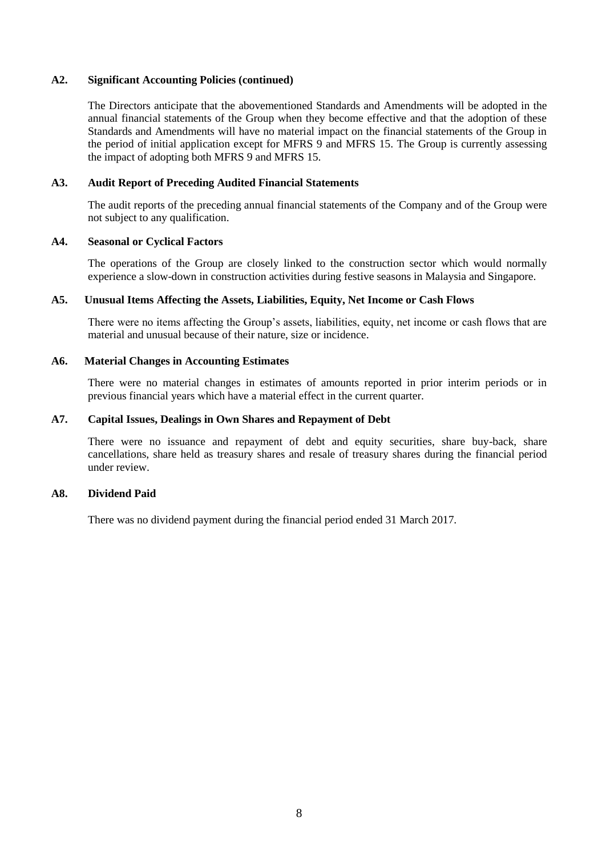## **A2. Significant Accounting Policies (continued)**

The Directors anticipate that the abovementioned Standards and Amendments will be adopted in the annual financial statements of the Group when they become effective and that the adoption of these Standards and Amendments will have no material impact on the financial statements of the Group in the period of initial application except for MFRS 9 and MFRS 15. The Group is currently assessing the impact of adopting both MFRS 9 and MFRS 15.

## **A3. Audit Report of Preceding Audited Financial Statements**

The audit reports of the preceding annual financial statements of the Company and of the Group were not subject to any qualification.

## **A4. Seasonal or Cyclical Factors**

The operations of the Group are closely linked to the construction sector which would normally experience a slow-down in construction activities during festive seasons in Malaysia and Singapore.

## **A5. Unusual Items Affecting the Assets, Liabilities, Equity, Net Income or Cash Flows**

There were no items affecting the Group's assets, liabilities, equity, net income or cash flows that are material and unusual because of their nature, size or incidence.

## **A6. Material Changes in Accounting Estimates**

There were no material changes in estimates of amounts reported in prior interim periods or in previous financial years which have a material effect in the current quarter.

## **A7. Capital Issues, Dealings in Own Shares and Repayment of Debt**

There were no issuance and repayment of debt and equity securities, share buy-back, share cancellations, share held as treasury shares and resale of treasury shares during the financial period under review.

#### **A8. Dividend Paid**

There was no dividend payment during the financial period ended 31 March 2017.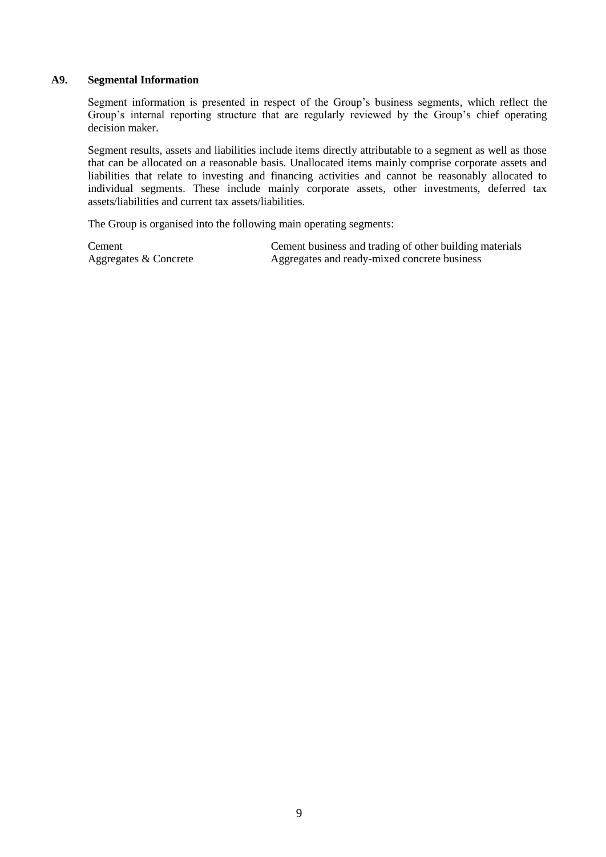## **A9. Segmental Information**

Segment information is presented in respect of the Group's business segments, which reflect the Group's internal reporting structure that are regularly reviewed by the Group's chief operating decision maker.

Segment results, assets and liabilities include items directly attributable to a segment as well as those that can be allocated on a reasonable basis. Unallocated items mainly comprise corporate assets and liabilities that relate to investing and financing activities and cannot be reasonably allocated to individual segments. These include mainly corporate assets, other investments, deferred tax assets/liabilities and current tax assets/liabilities.

The Group is organised into the following main operating segments:

Cement Cement business and trading of other building materials Aggregates & Concrete Aggregates and ready-mixed concrete business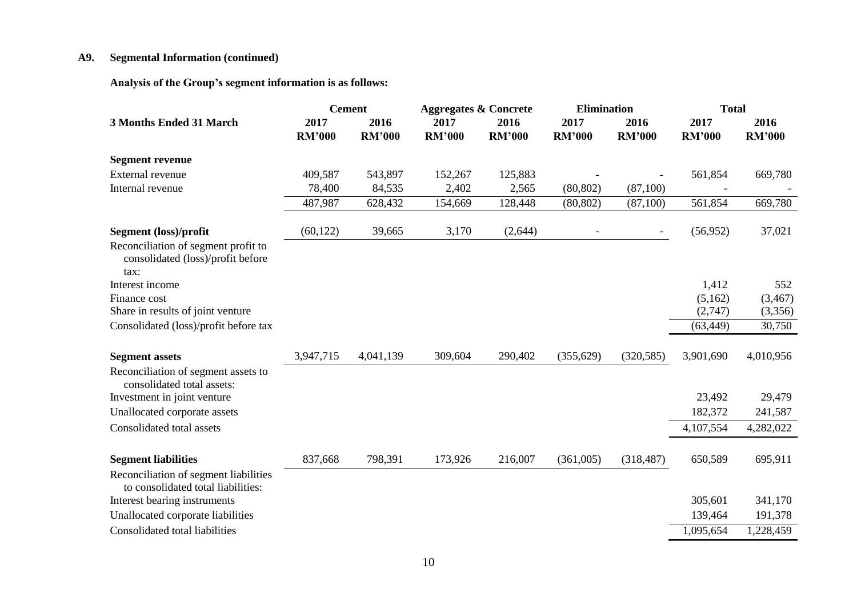# **A9. Segmental Information (continued)**

**Analysis of the Group's segment information is as follows:** 

|                                                                                  | <b>Cement</b>         |                       | <b>Aggregates &amp; Concrete</b> |                       | <b>Elimination</b>       |                          | <b>Total</b>          |                       |
|----------------------------------------------------------------------------------|-----------------------|-----------------------|----------------------------------|-----------------------|--------------------------|--------------------------|-----------------------|-----------------------|
| <b>3 Months Ended 31 March</b>                                                   | 2017<br><b>RM'000</b> | 2016<br><b>RM'000</b> | 2017<br><b>RM'000</b>            | 2016<br><b>RM'000</b> | 2017<br><b>RM'000</b>    | 2016<br><b>RM'000</b>    | 2017<br><b>RM'000</b> | 2016<br><b>RM'000</b> |
| <b>Segment revenue</b>                                                           |                       |                       |                                  |                       |                          |                          |                       |                       |
| External revenue                                                                 | 409,587               | 543,897               | 152,267                          | 125,883               |                          |                          | 561,854               | 669,780               |
| Internal revenue                                                                 | 78,400                | 84,535                | 2,402                            | 2,565                 | (80, 802)                | (87,100)                 |                       |                       |
|                                                                                  | 487,987               | 628,432               | 154,669                          | 128,448               | (80, 802)                | (87,100)                 | 561,854               | 669,780               |
| <b>Segment</b> (loss)/profit                                                     | (60, 122)             | 39,665                | 3,170                            | (2, 644)              | $\overline{\phantom{a}}$ | $\overline{\phantom{a}}$ | (56,952)              | 37,021                |
| Reconciliation of segment profit to<br>consolidated (loss)/profit before<br>tax: |                       |                       |                                  |                       |                          |                          |                       |                       |
| Interest income                                                                  |                       |                       |                                  |                       |                          |                          | 1,412                 | 552                   |
| Finance cost                                                                     |                       |                       |                                  |                       |                          |                          | (5,162)               | (3,467)               |
| Share in results of joint venture                                                |                       |                       |                                  |                       |                          |                          | (2,747)               | (3,356)               |
| Consolidated (loss)/profit before tax                                            |                       |                       |                                  |                       |                          |                          | (63, 449)             | 30,750                |
| <b>Segment assets</b>                                                            | 3,947,715             | 4,041,139             | 309,604                          | 290,402               | (355, 629)               | (320, 585)               | 3,901,690             | 4,010,956             |
| Reconciliation of segment assets to<br>consolidated total assets:                |                       |                       |                                  |                       |                          |                          |                       |                       |
| Investment in joint venture                                                      |                       |                       |                                  |                       |                          |                          | 23,492                | 29,479                |
| Unallocated corporate assets                                                     |                       |                       |                                  |                       |                          |                          | 182,372               | 241,587               |
| Consolidated total assets                                                        |                       |                       |                                  |                       |                          |                          | 4,107,554             | 4,282,022             |
| <b>Segment liabilities</b>                                                       | 837,668               | 798,391               | 173,926                          | 216,007               | (361,005)                | (318, 487)               | 650,589               | 695,911               |
| Reconciliation of segment liabilities<br>to consolidated total liabilities:      |                       |                       |                                  |                       |                          |                          |                       |                       |
| Interest bearing instruments                                                     |                       |                       |                                  |                       |                          |                          | 305,601               | 341,170               |
| Unallocated corporate liabilities                                                |                       |                       |                                  |                       |                          |                          | 139,464               | 191,378               |
| Consolidated total liabilities                                                   |                       |                       |                                  |                       |                          |                          | 1,095,654             | 1,228,459             |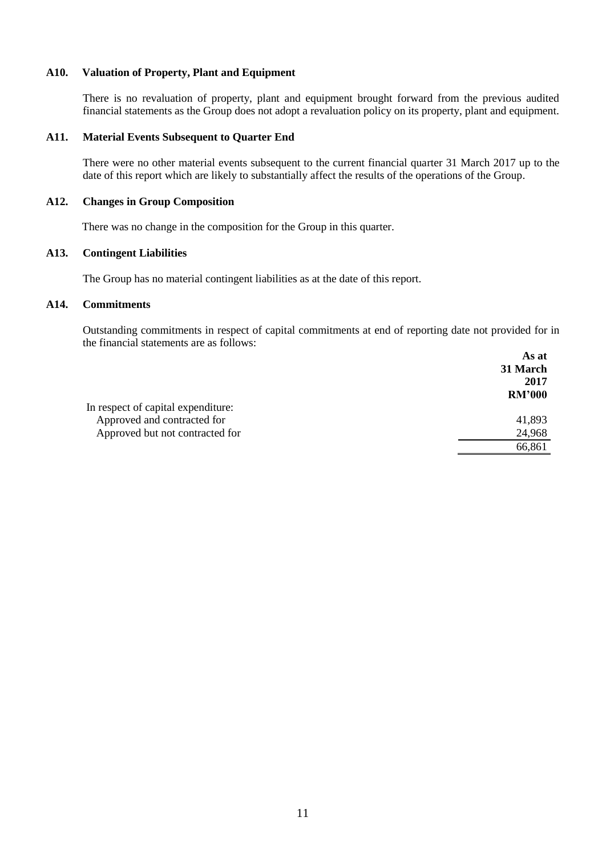## **A10. Valuation of Property, Plant and Equipment**

There is no revaluation of property, plant and equipment brought forward from the previous audited financial statements as the Group does not adopt a revaluation policy on its property, plant and equipment.

#### **A11. Material Events Subsequent to Quarter End**

There were no other material events subsequent to the current financial quarter 31 March 2017 up to the date of this report which are likely to substantially affect the results of the operations of the Group.

#### **A12. Changes in Group Composition**

There was no change in the composition for the Group in this quarter.

## **A13. Contingent Liabilities**

The Group has no material contingent liabilities as at the date of this report.

## **A14. Commitments**

Outstanding commitments in respect of capital commitments at end of reporting date not provided for in the financial statements are as follows:  $\Lambda$ a at

|                                    | AS at         |
|------------------------------------|---------------|
|                                    | 31 March      |
|                                    | 2017          |
|                                    | <b>RM'000</b> |
| In respect of capital expenditure: |               |
| Approved and contracted for        | 41,893        |
| Approved but not contracted for    | 24,968        |
|                                    | 66,861        |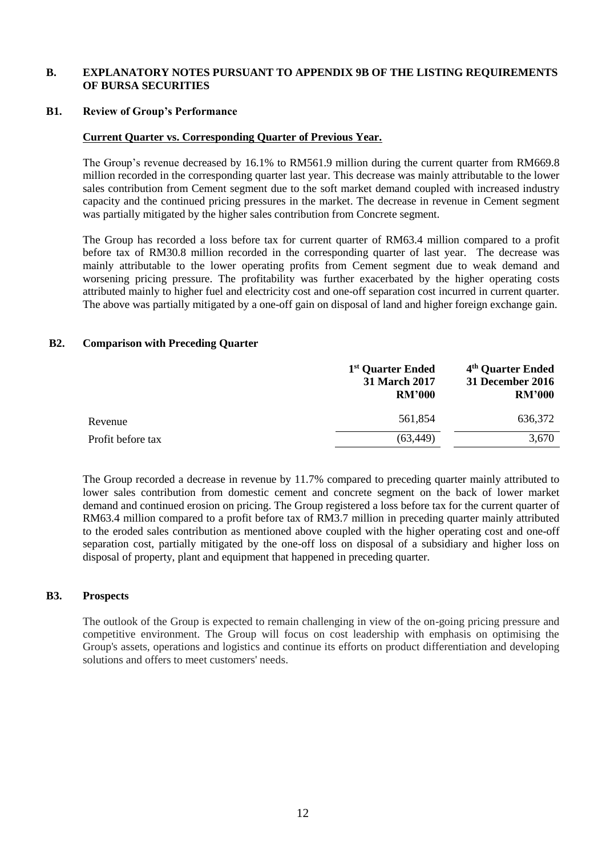## **B. EXPLANATORY NOTES PURSUANT TO APPENDIX 9B OF THE LISTING REQUIREMENTS OF BURSA SECURITIES**

#### **B1. Review of Group's Performance**

## **Current Quarter vs. Corresponding Quarter of Previous Year.**

The Group's revenue decreased by 16.1% to RM561.9 million during the current quarter from RM669.8 million recorded in the corresponding quarter last year. This decrease was mainly attributable to the lower sales contribution from Cement segment due to the soft market demand coupled with increased industry capacity and the continued pricing pressures in the market. The decrease in revenue in Cement segment was partially mitigated by the higher sales contribution from Concrete segment.

The Group has recorded a loss before tax for current quarter of RM63.4 million compared to a profit before tax of RM30.8 million recorded in the corresponding quarter of last year. The decrease was mainly attributable to the lower operating profits from Cement segment due to weak demand and worsening pricing pressure. The profitability was further exacerbated by the higher operating costs attributed mainly to higher fuel and electricity cost and one-off separation cost incurred in current quarter. The above was partially mitigated by a one-off gain on disposal of land and higher foreign exchange gain.

## **B2. Comparison with Preceding Quarter**

|                   | 1 <sup>st</sup> Quarter Ended<br><b>31 March 2017</b><br><b>RM'000</b> | 4 <sup>th</sup> Quarter Ended<br>31 December 2016<br><b>RM'000</b> |
|-------------------|------------------------------------------------------------------------|--------------------------------------------------------------------|
| Revenue           | 561.854                                                                | 636,372                                                            |
| Profit before tax | (63, 449)                                                              | 3,670                                                              |

The Group recorded a decrease in revenue by 11.7% compared to preceding quarter mainly attributed to lower sales contribution from domestic cement and concrete segment on the back of lower market demand and continued erosion on pricing. The Group registered a loss before tax for the current quarter of RM63.4 million compared to a profit before tax of RM3.7 million in preceding quarter mainly attributed to the eroded sales contribution as mentioned above coupled with the higher operating cost and one-off separation cost, partially mitigated by the one-off loss on disposal of a subsidiary and higher loss on disposal of property, plant and equipment that happened in preceding quarter.

## **B3. Prospects**

The outlook of the Group is expected to remain challenging in view of the on-going pricing pressure and competitive environment. The Group will focus on cost leadership with emphasis on optimising the Group's assets, operations and logistics and continue its efforts on product differentiation and developing solutions and offers to meet customers' needs.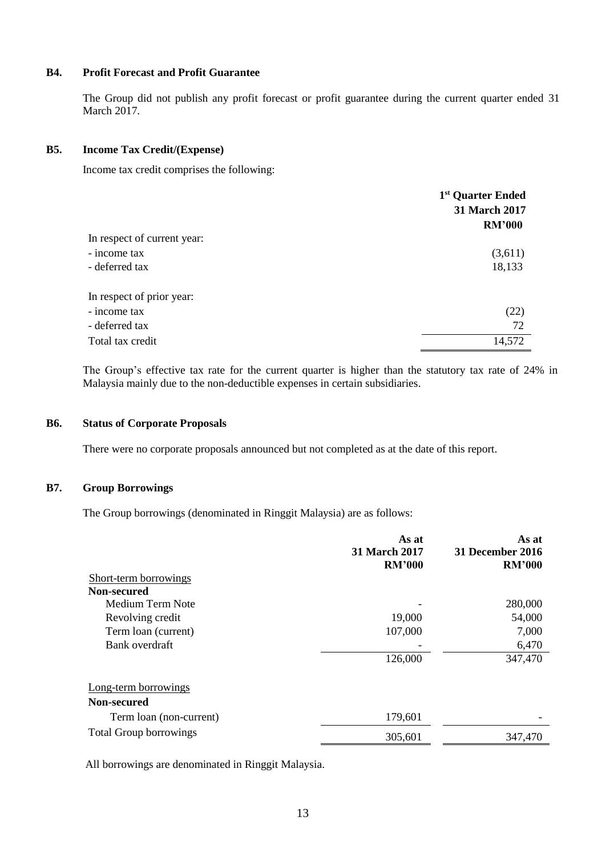## **B4. Profit Forecast and Profit Guarantee**

The Group did not publish any profit forecast or profit guarantee during the current quarter ended 31 March 2017.

## **B5. Income Tax Credit/(Expense)**

Income tax credit comprises the following:

|                             | 1 <sup>st</sup> Quarter Ended<br>31 March 2017<br><b>RM'000</b> |
|-----------------------------|-----------------------------------------------------------------|
| In respect of current year: |                                                                 |
| - income tax                | (3,611)                                                         |
| - deferred tax              | 18,133                                                          |
| In respect of prior year:   |                                                                 |
| - income tax                | (22)                                                            |
| - deferred tax              | 72                                                              |
| Total tax credit            | 14,572                                                          |

The Group's effective tax rate for the current quarter is higher than the statutory tax rate of 24% in Malaysia mainly due to the non-deductible expenses in certain subsidiaries.

## **B6. Status of Corporate Proposals**

There were no corporate proposals announced but not completed as at the date of this report.

## **B7. Group Borrowings**

The Group borrowings (denominated in Ringgit Malaysia) are as follows:

|                               | As at<br><b>31 March 2017</b><br><b>RM'000</b> | As at<br>31 December 2016<br><b>RM'000</b> |
|-------------------------------|------------------------------------------------|--------------------------------------------|
| Short-term borrowings         |                                                |                                            |
| Non-secured                   |                                                |                                            |
| Medium Term Note              |                                                | 280,000                                    |
| Revolving credit              | 19,000                                         | 54,000                                     |
| Term loan (current)           | 107,000                                        | 7,000                                      |
| Bank overdraft                |                                                | 6,470                                      |
|                               | 126,000                                        | 347,470                                    |
| Long-term borrowings          |                                                |                                            |
| Non-secured                   |                                                |                                            |
| Term loan (non-current)       | 179,601                                        |                                            |
| <b>Total Group borrowings</b> | 305,601                                        | 347,470                                    |

All borrowings are denominated in Ringgit Malaysia.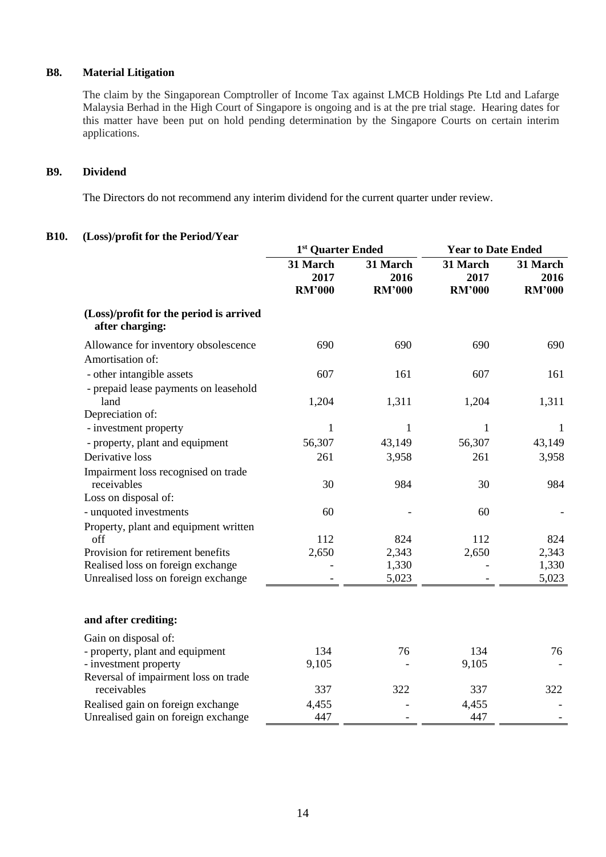# **B8. Material Litigation**

The claim by the Singaporean Comptroller of Income Tax against LMCB Holdings Pte Ltd and Lafarge Malaysia Berhad in the High Court of Singapore is ongoing and is at the pre trial stage. Hearing dates for this matter have been put on hold pending determination by the Singapore Courts on certain interim applications.

## **B9. Dividend**

The Directors do not recommend any interim dividend for the current quarter under review.

## **B10. (Loss)/profit for the Period/Year**

|                                                            | 1st Quarter Ended                 |                                   | <b>Year to Date Ended</b>         |                                   |
|------------------------------------------------------------|-----------------------------------|-----------------------------------|-----------------------------------|-----------------------------------|
|                                                            | 31 March<br>2017<br><b>RM'000</b> | 31 March<br>2016<br><b>RM'000</b> | 31 March<br>2017<br><b>RM'000</b> | 31 March<br>2016<br><b>RM'000</b> |
|                                                            |                                   |                                   |                                   |                                   |
| (Loss)/profit for the period is arrived<br>after charging: |                                   |                                   |                                   |                                   |
| Allowance for inventory obsolescence<br>Amortisation of:   | 690                               | 690                               | 690                               | 690                               |
| - other intangible assets                                  | 607                               | 161                               | 607                               | 161                               |
| - prepaid lease payments on leasehold<br>land              | 1,204                             | 1,311                             | 1,204                             | 1,311                             |
| Depreciation of:                                           | 1                                 | $\mathbf{1}$                      | $\mathbf{1}$                      |                                   |
| - investment property                                      | 56,307                            | 43,149                            | 56,307                            | $\mathbf{1}$<br>43,149            |
| - property, plant and equipment<br>Derivative loss         | 261                               | 3,958                             | 261                               | 3,958                             |
|                                                            |                                   |                                   |                                   |                                   |
| Impairment loss recognised on trade<br>receivables         | 30                                | 984                               | 30                                | 984                               |
| Loss on disposal of:                                       |                                   |                                   |                                   |                                   |
| - unquoted investments                                     | 60                                |                                   | 60                                |                                   |
| Property, plant and equipment written                      |                                   |                                   |                                   |                                   |
| off                                                        | 112                               | 824                               | 112                               | 824                               |
| Provision for retirement benefits                          | 2,650                             | 2,343                             | 2,650                             | 2,343                             |
| Realised loss on foreign exchange                          |                                   | 1,330                             |                                   | 1,330                             |
| Unrealised loss on foreign exchange                        |                                   | 5,023                             |                                   | 5,023                             |
| and after crediting:                                       |                                   |                                   |                                   |                                   |
| Gain on disposal of:                                       |                                   |                                   |                                   |                                   |
| - property, plant and equipment                            | 134                               | 76                                | 134                               | 76                                |
| - investment property                                      | 9,105                             |                                   | 9,105                             |                                   |
| Reversal of impairment loss on trade                       |                                   |                                   |                                   |                                   |
| receivables                                                | 337                               | 322                               | 337                               | 322                               |
| Realised gain on foreign exchange                          | 4,455                             |                                   | 4,455                             |                                   |
| Unrealised gain on foreign exchange                        | 447                               |                                   | 447                               |                                   |